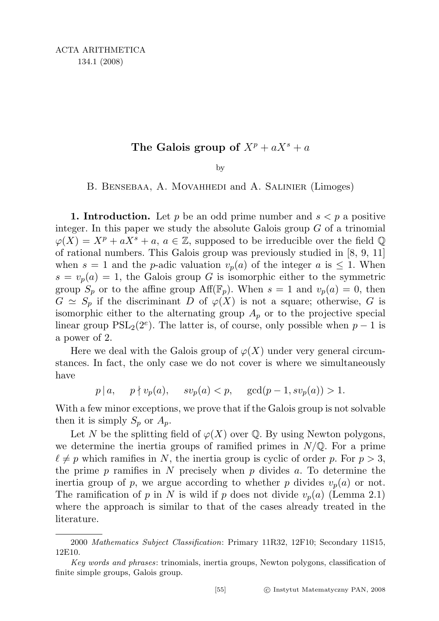## The Galois group of  $X^p + aX^s + a$

by

B. Bensebaa, A. Movahhedi and A. Salinier (Limoges)

**1. Introduction.** Let p be an odd prime number and  $s < p$  a positive integer. In this paper we study the absolute Galois group  $G$  of a trinomial  $\varphi(X) = X^p + aX^s + a, a \in \mathbb{Z}$ , supposed to be irreducible over the field  $\mathbb{Q}$ of rational numbers. This Galois group was previously studied in [8, 9, 11] when  $s = 1$  and the *p*-adic valuation  $v_p(a)$  of the integer a is  $\leq 1$ . When  $s = v_p(a) = 1$ , the Galois group G is isomorphic either to the symmetric group  $S_p$  or to the affine group  $\text{Aff}(\mathbb{F}_p)$ . When  $s = 1$  and  $v_p(a) = 0$ , then  $G \simeq S_p$  if the discriminant D of  $\varphi(X)$  is not a square; otherwise, G is isomorphic either to the alternating group  $A_p$  or to the projective special linear group  $PSL_2(2^e)$ . The latter is, of course, only possible when  $p-1$  is a power of 2.

Here we deal with the Galois group of  $\varphi(X)$  under very general circumstances. In fact, the only case we do not cover is where we simultaneously have

 $p | a, \quad p \nmid v_p(a), \quad sv_p(a) < p, \quad \gcd(p-1, sv_p(a)) > 1.$ 

With a few minor exceptions, we prove that if the Galois group is not solvable then it is simply  $S_p$  or  $A_p$ .

Let N be the splitting field of  $\varphi(X)$  over  $\mathbb Q$ . By using Newton polygons, we determine the inertia groups of ramified primes in  $N/\mathbb{Q}$ . For a prime  $\ell \neq p$  which ramifies in N, the inertia group is cyclic of order p. For  $p > 3$ , the prime p ramifies in N precisely when p divides a. To determine the inertia group of p, we argue according to whether p divides  $v_p(a)$  or not. The ramification of p in N is wild if p does not divide  $v_p(a)$  (Lemma 2.1) where the approach is similar to that of the cases already treated in the literature.

<sup>2000</sup> Mathematics Subject Classification: Primary 11R32, 12F10; Secondary 11S15, 12E10.

Key words and phrases: trinomials, inertia groups, Newton polygons, classification of finite simple groups, Galois group.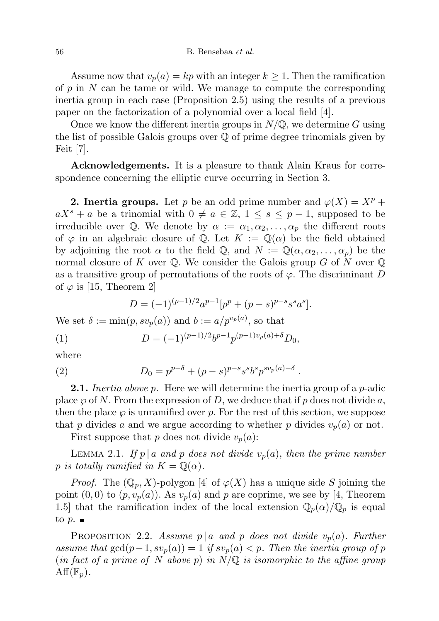Assume now that  $v_p(a) = kp$  with an integer  $k \ge 1$ . Then the ramification of  $p$  in  $N$  can be tame or wild. We manage to compute the corresponding inertia group in each case (Proposition 2.5) using the results of a previous paper on the factorization of a polynomial over a local field [4].

Once we know the different inertia groups in  $N/\mathbb{Q}$ , we determine G using the list of possible Galois groups over Q of prime degree trinomials given by Feit [7].

Acknowledgements. It is a pleasure to thank Alain Kraus for correspondence concerning the elliptic curve occurring in Section 3.

**2. Inertia groups.** Let p be an odd prime number and  $\varphi(X) = X^p +$  $aX^s + a$  be a trinomial with  $0 \neq a \in \mathbb{Z}$ ,  $1 \leq s \leq p-1$ , supposed to be irreducible over Q. We denote by  $\alpha := \alpha_1, \alpha_2, \ldots, \alpha_p$  the different roots of  $\varphi$  in an algebraic closure of Q. Let  $K := \mathbb{Q}(\alpha)$  be the field obtained by adjoining the root  $\alpha$  to the field Q, and  $N := \mathbb{Q}(\alpha, \alpha_2, \dots, \alpha_p)$  be the normal closure of K over  $\mathbb Q$ . We consider the Galois group G of N over  $\mathbb Q$ as a transitive group of permutations of the roots of  $\varphi$ . The discriminant D of  $\varphi$  is [15, Theorem 2]

$$
D = (-1)^{(p-1)/2} a^{p-1} [p^p + (p-s)^{p-s} s^s a^s].
$$

We set  $\delta := \min(p, s v_p(a))$  and  $b := a/p^{v_p(a)}$ , so that

(1) 
$$
D = (-1)^{(p-1)/2} b^{p-1} p^{(p-1)v_p(a) + \delta} D_0,
$$

where

(2) 
$$
D_0 = p^{p-\delta} + (p-s)^{p-s} s^s b^s p^{s v_p(a)-\delta}.
$$

**2.1.** Inertia above p. Here we will determine the inertia group of a  $p$ -adic place  $\wp$  of N. From the expression of D, we deduce that if p does not divide a, then the place  $\wp$  is unramified over p. For the rest of this section, we suppose that p divides a and we argue according to whether p divides  $v_p(a)$  or not.

First suppose that p does not divide  $v_p(a)$ :

LEMMA 2.1. If  $p \mid a$  and p does not divide  $v_p(a)$ , then the prime number p is totally ramified in  $K = \mathbb{Q}(\alpha)$ .

*Proof.* The  $(\mathbb{Q}_p, X)$ -polygon [4] of  $\varphi(X)$  has a unique side S joining the point  $(0, 0)$  to  $(p, v_p(a))$ . As  $v_p(a)$  and p are coprime, we see by [4, Theorem 1.5] that the ramification index of the local extension  $\mathbb{Q}_p(\alpha)/\mathbb{Q}_p$  is equal to  $p.$ 

PROPOSITION 2.2. Assume  $p \mid a$  and p does not divide  $v_p(a)$ . Further assume that  $gcd(p-1, sv_p(a)) = 1$  if  $sv_p(a) < p$ . Then the inertia group of p (in fact of a prime of N above p) in  $N/\mathbb{Q}$  is isomorphic to the affine group  $\mathrm{Aff}(\mathbb{F}_p).$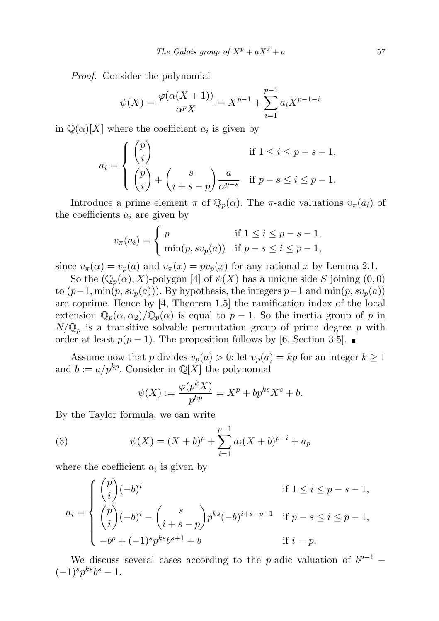Proof. Consider the polynomial

$$
\psi(X) = \frac{\varphi(\alpha(X+1))}{\alpha^p X} = X^{p-1} + \sum_{i=1}^{p-1} a_i X^{p-1-i}
$$

in  $\mathbb{Q}(\alpha)[X]$  where the coefficient  $a_i$  is given by

$$
a_i = \begin{cases} \begin{pmatrix} p \\ i \end{pmatrix} & \text{if } 1 \le i \le p - s - 1, \\ \begin{pmatrix} p \\ i \end{pmatrix} + \begin{pmatrix} s \\ i + s - p \end{pmatrix} \frac{a}{\alpha^{p - s}} & \text{if } p - s \le i \le p - 1. \end{cases}
$$

Introduce a prime element  $\pi$  of  $\mathbb{Q}_p(\alpha)$ . The  $\pi$ -adic valuations  $v_{\pi}(a_i)$  of the coefficients  $a_i$  are given by

$$
v_{\pi}(a_i) = \begin{cases} p & \text{if } 1 \leq i \leq p - s - 1, \\ \min(p, s v_p(a)) & \text{if } p - s \leq i \leq p - 1, \end{cases}
$$

since  $v_{\pi}(\alpha) = v_p(a)$  and  $v_{\pi}(x) = pv_p(x)$  for any rational x by Lemma 2.1.

So the  $(\mathbb{Q}_p(\alpha), X)$ -polygon [4] of  $\psi(X)$  has a unique side S joining  $(0, 0)$ to  $(p-1, \min(p, s v_p(a)))$ . By hypothesis, the integers  $p-1$  and  $\min(p, s v_p(a))$ are coprime. Hence by [4, Theorem 1.5] the ramification index of the local extension  $\mathbb{Q}_p(\alpha,\alpha_2)/\mathbb{Q}_p(\alpha)$  is equal to  $p-1$ . So the inertia group of p in  $N/\mathbb{Q}_p$  is a transitive solvable permutation group of prime degree p with order at least  $p(p-1)$ . The proposition follows by [6, Section 3.5]. ■

Assume now that p divides  $v_p(a) > 0$ : let  $v_p(a) = kp$  for an integer  $k \ge 1$ and  $b := a/p^{kp}$ . Consider in  $\mathbb{Q}[X]$  the polynomial

$$
\psi(X) := \frac{\varphi(p^k X)}{p^{kp}} = X^p + bp^{ks} X^s + b.
$$

By the Taylor formula, we can write

(3) 
$$
\psi(X) = (X+b)^p + \sum_{i=1}^{p-1} a_i (X+b)^{p-i} + a_p
$$

where the coefficient  $a_i$  is given by

$$
a_i = \begin{cases} {p \choose i} (-b)^i & \text{if } 1 \le i \le p - s - 1, \\ {p \choose i} (-b)^i - {s \choose i+s-p} p^{ks} (-b)^{i+s-p+1} & \text{if } p - s \le i \le p - 1, \\ -b^p + (-1)^s p^{ks} b^{s+1} + b & \text{if } i = p. \end{cases}
$$

We discuss several cases according to the *p*-adic valuation of  $b^{p-1}$  –  $(-1)^s p^{ks} b^s - 1.$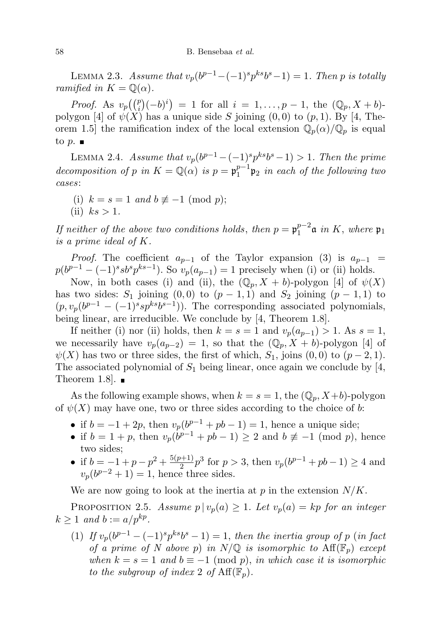LEMMA 2.3. Assume that  $v_p(b^{p-1}-(-1)^s p^{ks}b^s-1)=1$ . Then p is totally ramified in  $K = \mathbb{Q}(\alpha)$ .

*Proof.* As  $v_p((i)(-b)^i) = 1$  for all  $i = 1, ..., p-1$ , the  $(\mathbb{Q}_p, X + b)$ polygon [4] of  $\psi(X)$  has a unique side S joining  $(0,0)$  to  $(p,1)$ . By [4, Theorem 1.5] the ramification index of the local extension  $\mathbb{Q}_p(\alpha)/\mathbb{Q}_p$  is equal to  $p.$ 

LEMMA 2.4. Assume that  $v_p(b^{p-1} - (-1)^s p^{ks} b^s - 1) > 1$ . Then the prime decomposition of p in  $K = \mathbb{Q}(\alpha)$  is  $p = \mathfrak{p}_1^{p-1}$  $1^{p-1}$  $\mathfrak{p}_2$  in each of the following two cases:

- (i)  $k = s = 1$  and  $b \not\equiv -1 \pmod{p}$ ;
- (ii)  $ks > 1$ .

If neither of the above two conditions holds, then  $p = \mathfrak{p}_1^{p-2}$  $_1^{p-2}$ a in K, where  $\mathfrak{p}_1$ is a prime ideal of K.

*Proof.* The coefficient  $a_{p-1}$  of the Taylor expansion (3) is  $a_{p-1}$  =  $p(b^{p-1} - (-1)^s s b^s p^{ks-1})$ . So  $v_p(a_{p-1}) = 1$  precisely when (i) or (ii) holds.

Now, in both cases (i) and (ii), the  $(\mathbb{Q}_p, X + b)$ -polygon [4] of  $\psi(X)$ has two sides:  $S_1$  joining  $(0,0)$  to  $(p-1,1)$  and  $S_2$  joining  $(p-1,1)$  to  $(p, v_p(b^{p-1} - (-1)^s s p^{ks} b^{s-1}))$ . The corresponding associated polynomials, being linear, are irreducible. We conclude by [4, Theorem 1.8].

If neither (i) nor (ii) holds, then  $k = s = 1$  and  $v_p(a_{p-1}) > 1$ . As  $s = 1$ , we necessarily have  $v_p(a_{p-2}) = 1$ , so that the  $(\mathbb{Q}_p, X + b)$ -polygon [4] of  $\psi(X)$  has two or three sides, the first of which,  $S_1$ , joins  $(0,0)$  to  $(p-2,1)$ . The associated polynomial of  $S_1$  being linear, once again we conclude by [4, Theorem 1.8.

As the following example shows, when  $k = s = 1$ , the  $(\mathbb{Q}_p, X+b)$ -polygon of  $\psi(X)$  may have one, two or three sides according to the choice of b:

- if  $b = -1 + 2p$ , then  $v_p(b^{p-1} + pb 1) = 1$ , hence a unique side;
- if  $b = 1 + p$ , then  $v_p(b^{p-1} + pb 1) \ge 2$  and  $b \not\equiv -1 \pmod{p}$ , hence two sides;
- if  $b = -1 + p p^2 + \frac{5(p+1)}{2}$  $\frac{p+1}{2}p^3$  for  $p > 3$ , then  $v_p(b^{p-1} + pb - 1) \ge 4$  and  $v_p(b^{p-2}+1)=1$ , hence three sides.

We are now going to look at the inertia at  $p$  in the extension  $N/K$ .

PROPOSITION 2.5. Assume  $p | v_p(a) \geq 1$ . Let  $v_p(a) = kp$  for an integer  $k \geq 1$  and  $b := a/p^{kp}$ .

(1) If  $v_p(b^{p-1}-(-1)^s p^{ks}b^s-1)=1$ , then the inertia group of p (in fact of a prime of N above p) in  $N/\mathbb{Q}$  is isomorphic to  $\text{Aff}(\mathbb{F}_p)$  except when  $k = s = 1$  and  $b \equiv -1 \pmod{p}$ , in which case it is isomorphic to the subgroup of index 2 of  $\text{Aff}(\mathbb{F}_p)$ .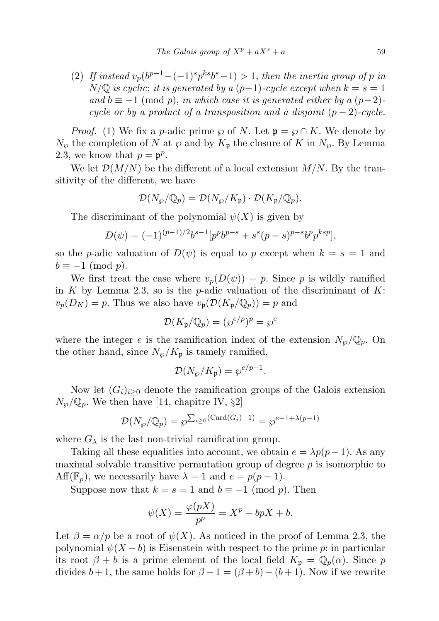(2) If instead  $v_p(b^{p-1}-(-1)^s p^{ks}b^s-1) > 1$ , then the inertia group of p in  $N/\mathbb{Q}$  is cyclic; it is generated by a  $(p-1)$ -cycle except when  $k = s = 1$ and  $b \equiv -1 \pmod{p}$ , in which case it is generated either by a  $(p-2)$ cycle or by a product of a transposition and a disjoint  $(p-2)$ -cycle.

*Proof.* (1) We fix a p-adic prime  $\wp$  of N. Let  $\mathfrak{p} = \wp \cap K$ . We denote by  $N_{\varphi}$  the completion of N at  $\varphi$  and by  $K_{\mathfrak{p}}$  the closure of K in  $N_{\varphi}$ . By Lemma 2.3, we know that  $p = \mathfrak{p}^p$ .

We let  $\mathcal{D}(M/N)$  be the different of a local extension  $M/N$ . By the transitivity of the different, we have

$$
\mathcal{D}(N_{\wp}/\mathbb{Q}_p) = \mathcal{D}(N_{\wp}/K_{\mathfrak{p}}) \cdot \mathcal{D}(K_{\mathfrak{p}}/\mathbb{Q}_p).
$$

The discriminant of the polynomial  $\psi(X)$  is given by

$$
D(\psi) = (-1)^{(p-1)/2} b^{s-1} [p^p b^{p-s} + s^s (p-s)^{p-s} b^p p^{ksp}],
$$

so the *p*-adic valuation of  $D(\psi)$  is equal to p except when  $k = s = 1$  and  $b \equiv -1 \pmod{p}$ .

We first treat the case where  $v_p(D(\psi)) = p$ . Since p is wildly ramified in K by Lemma 2.3, so is the p-adic valuation of the discriminant of  $K$ :  $v_p(D_K) = p$ . Thus we also have  $v_p(\mathcal{D}(K_p/\mathbb{Q}_p)) = p$  and

$$
\mathcal{D}(K_{\mathfrak{p}}/\mathbb{Q}_p) = (\wp^{e/p})^p = \wp^e
$$

where the integer e is the ramification index of the extension  $N_{\varphi}/\mathbb{Q}_p$ . On the other hand, since  $N_{\varphi}/K_{\mathfrak{p}}$  is tamely ramified,

$$
\mathcal{D}(N_{\wp}/K_{\mathfrak{p}}) = \wp^{e/p-1}.
$$

Now let  $(G_i)_{i\geq 0}$  denote the ramification groups of the Galois extension  $N_{\wp} / \mathbb{Q}_p$ . We then have [14, chapitre IV, §2]

$$
\mathcal{D}(N_{\wp}/\mathbb{Q}_p) = \wp^{\sum_{i \ge 0} (\text{Card}(G_i) - 1)} = \wp^{e-1 + \lambda(p-1)}
$$

where  $G_{\lambda}$  is the last non-trivial ramification group.

Taking all these equalities into account, we obtain  $e = \lambda p(p-1)$ . As any maximal solvable transitive permutation group of degree  $p$  is isomorphic to  $Aff(\mathbb{F}_p)$ , we necessarily have  $\lambda = 1$  and  $e = p(p-1)$ .

Suppose now that  $k = s = 1$  and  $b \equiv -1 \pmod{p}$ . Then

$$
\psi(X) = \frac{\varphi(pX)}{p^p} = X^p + bpX + b.
$$

Let  $\beta = \alpha/p$  be a root of  $\psi(X)$ . As noticed in the proof of Lemma 2.3, the polynomial  $\psi(X - b)$  is Eisenstein with respect to the prime p: in particular its root  $\beta + b$  is a prime element of the local field  $K_p = \mathbb{Q}_p(\alpha)$ . Since p divides  $b+1$ , the same holds for  $\beta - 1 = (\beta + b) - (b+1)$ . Now if we rewrite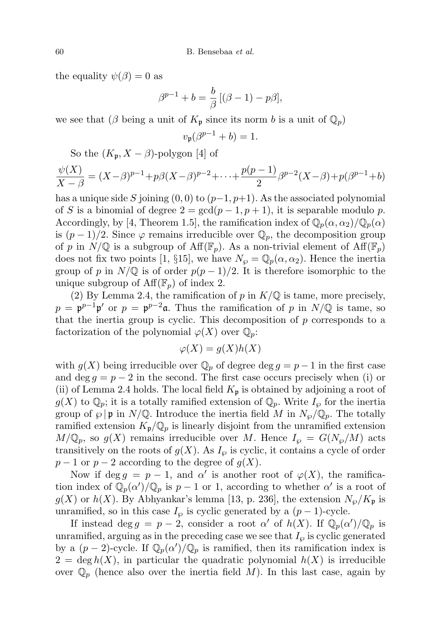the equality  $\psi(\beta) = 0$  as

$$
\beta^{p-1} + b = \frac{b}{\beta} [(\beta - 1) - p\beta],
$$

we see that ( $\beta$  being a unit of  $K_{\mathfrak{p}}$  since its norm b is a unit of  $\mathbb{Q}_p$ )

$$
v_{\mathfrak{p}}(\beta^{p-1} + b) = 1.
$$

So the  $(K_p, X - \beta)$ -polygon [4] of

$$
\frac{\psi(X)}{X-\beta} = (X-\beta)^{p-1} + p\beta(X-\beta)^{p-2} + \dots + \frac{p(p-1)}{2}\beta^{p-2}(X-\beta) + p(\beta^{p-1} + b)
$$

has a unique side S joining  $(0, 0)$  to  $(p-1, p+1)$ . As the associated polynomial of S is a binomial of degree  $2 = \gcd(p-1, p+1)$ , it is separable modulo p. Accordingly, by [4, Theorem 1.5], the ramification index of  $\mathbb{Q}_p(\alpha,\alpha_2)/\mathbb{Q}_p(\alpha)$ is  $(p-1)/2$ . Since  $\varphi$  remains irreducible over  $\mathbb{Q}_p$ , the decomposition group of p in  $N/\mathbb{Q}$  is a subgroup of  $\text{Aff}(\mathbb{F}_p)$ . As a non-trivial element of  $\text{Aff}(\mathbb{F}_p)$ does not fix two points [1, §15], we have  $N_{\varphi} = \mathbb{Q}_p(\alpha, \alpha_2)$ . Hence the inertia group of p in  $N/\mathbb{Q}$  is of order  $p(p-1)/2$ . It is therefore isomorphic to the unique subgroup of  $\text{Aff}(\mathbb{F}_p)$  of index 2.

(2) By Lemma 2.4, the ramification of  $p$  in  $K/\mathbb{Q}$  is tame, more precisely,  $p = \mathfrak{p}^{p-1} \mathfrak{p}'$  or  $p = \mathfrak{p}^{p-2} \mathfrak{a}$ . Thus the ramification of p in  $N/\mathbb{Q}$  is tame, so that the inertia group is cyclic. This decomposition of  $p$  corresponds to a factorization of the polynomial  $\varphi(X)$  over  $\mathbb{Q}_p$ :

$$
\varphi(X) = g(X)h(X)
$$

with  $g(X)$  being irreducible over  $\mathbb{Q}_p$  of degree  $\deg g = p-1$  in the first case and deg  $q = p - 2$  in the second. The first case occurs precisely when (i) or (ii) of Lemma 2.4 holds. The local field  $K_{\mathfrak{p}}$  is obtained by adjoining a root of  $g(X)$  to  $\mathbb{Q}_p$ ; it is a totally ramified extension of  $\mathbb{Q}_p$ . Write  $I_\varphi$  for the inertia group of  $\wp \, | \, \mathfrak{p}$  in  $N/\mathbb{Q}$ . Introduce the inertia field M in  $N_{\wp}/\mathbb{Q}_p$ . The totally ramified extension  $K_{\mathfrak{p}}/\mathbb{Q}_p$  is linearly disjoint from the unramified extension  $M/\mathbb{Q}_p$ , so  $g(X)$  remains irreducible over M. Hence  $I_\varphi = G(N_\varphi/M)$  acts transitively on the roots of  $g(X)$ . As  $I_{\varphi}$  is cyclic, it contains a cycle of order  $p-1$  or  $p-2$  according to the degree of  $g(X)$ .

Now if deg  $g = p - 1$ , and  $\alpha'$  is another root of  $\varphi(X)$ , the ramification index of  $\overline{\mathbb{Q}_p(\alpha')}/\mathbb{Q}_p$  is  $p-1$  or 1, according to whether  $\alpha'$  is a root of  $g(X)$  or  $h(X)$ . By Abhyankar's lemma [13, p. 236], the extension  $N_{\varphi}/K_{\mathfrak{p}}$  is unramified, so in this case  $I_{\varphi}$  is cyclic generated by a  $(p-1)$ -cycle.

If instead deg  $g = p - 2$ , consider a root  $\alpha'$  of  $h(X)$ . If  $\mathbb{Q}_p(\alpha')/\mathbb{Q}_p$  is unramified, arguing as in the preceding case we see that  $I_{\varphi}$  is cyclic generated by a  $(p-2)$ -cycle. If  $\mathbb{Q}_p(\alpha')/\mathbb{Q}_p$  is ramified, then its ramification index is  $2 = \deg h(X)$ , in particular the quadratic polynomial  $h(X)$  is irreducible over  $\mathbb{Q}_p$  (hence also over the inertia field M). In this last case, again by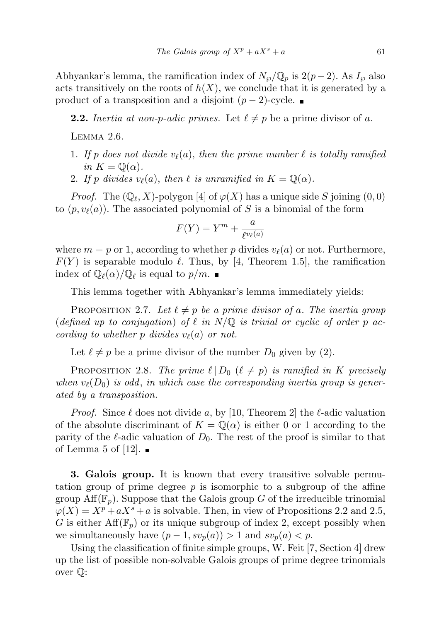Abhyankar's lemma, the ramification index of  $N_{\varphi}/\mathbb{Q}_p$  is  $2(p-2)$ . As  $I_{\varphi}$  also acts transitively on the roots of  $h(X)$ , we conclude that it is generated by a product of a transposition and a disjoint  $(p-2)$ -cycle. ■

**2.2.** Inertia at non-p-adic primes. Let  $\ell \neq p$  be a prime divisor of a.

Lemma 2.6.

- 1. If p does not divide  $v_{\ell}(a)$ , then the prime number  $\ell$  is totally ramified in  $K = \mathbb{Q}(\alpha)$ .
- 2. If p divides  $v_{\ell}(a)$ , then  $\ell$  is unramified in  $K = \mathbb{Q}(\alpha)$ .

*Proof.* The  $(\mathbb{Q}_\ell, X)$ -polygon [4] of  $\varphi(X)$  has a unique side S joining  $(0, 0)$ to  $(p, v_{\ell}(a))$ . The associated polynomial of S is a binomial of the form

$$
F(Y) = Y^m + \frac{a}{\ell^{v_\ell(a)}}
$$

where  $m = p$  or 1, according to whether p divides  $v_{\ell}(a)$  or not. Furthermore,  $F(Y)$  is separable modulo  $\ell$ . Thus, by [4, Theorem 1.5], the ramification index of  $\mathbb{Q}_{\ell}(\alpha)/\mathbb{Q}_{\ell}$  is equal to  $p/m$ .

This lemma together with Abhyankar's lemma immediately yields:

PROPOSITION 2.7. Let  $\ell \neq p$  be a prime divisor of a. The inertia group (defined up to conjugation) of  $\ell$  in  $N/\mathbb{Q}$  is trivial or cyclic of order p according to whether p divides  $v_{\ell}(a)$  or not.

Let  $\ell \neq p$  be a prime divisor of the number  $D_0$  given by (2).

PROPOSITION 2.8. The prime  $\ell \mid D_0$   $(\ell \neq p)$  is ramified in K precisely when  $v_{\ell}(D_0)$  is odd, in which case the corresponding inertia group is generated by a transposition.

*Proof.* Since  $\ell$  does not divide a, by [10, Theorem 2] the  $\ell$ -adic valuation of the absolute discriminant of  $K = \mathbb{Q}(\alpha)$  is either 0 or 1 according to the parity of the  $\ell$ -adic valuation of  $D_0$ . The rest of the proof is similar to that of Lemma 5 of [12].  $\blacksquare$ 

3. Galois group. It is known that every transitive solvable permutation group of prime degree  $p$  is isomorphic to a subgroup of the affine group  $\text{Aff}(\mathbb{F}_n)$ . Suppose that the Galois group G of the irreducible trinomial  $\varphi(X) = X^p + aX^s + a$  is solvable. Then, in view of Propositions 2.2 and 2.5, G is either  $Aff(\mathbb{F}_p)$  or its unique subgroup of index 2, except possibly when we simultaneously have  $(p-1, s v_p(a)) > 1$  and  $s v_p(a) < p$ .

Using the classification of finite simple groups, W. Feit [7, Section 4] drew up the list of possible non-solvable Galois groups of prime degree trinomials over Q: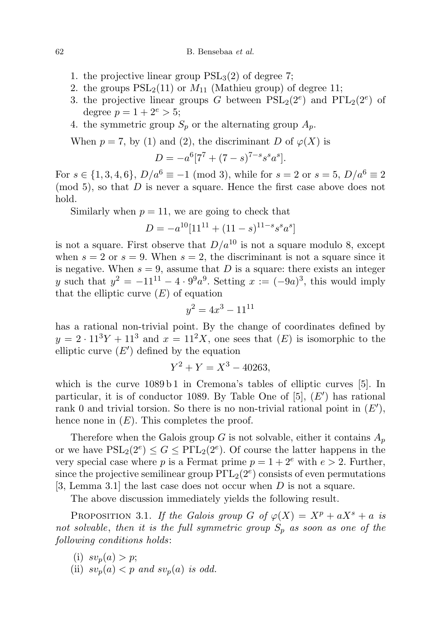- 1. the projective linear group  $PSL<sub>3</sub>(2)$  of degree 7;
- 2. the groups  $PSL_2(11)$  or  $M_{11}$  (Mathieu group) of degree 11;
- 3. the projective linear groups G between  $PSL_2(2^e)$  and  $P\Gamma L_2(2^e)$  of degree  $p = 1 + 2^e > 5$ ;
- 4. the symmetric group  $S_p$  or the alternating group  $A_p$ .

When  $p = 7$ , by (1) and (2), the discriminant D of  $\varphi(X)$  is

$$
D = -a^6 [7^7 + (7 - s)^{7 - s} s^s a^s].
$$

For  $s \in \{1, 3, 4, 6\}$ ,  $D/a^6 \equiv -1 \pmod{3}$ , while for  $s = 2$  or  $s = 5$ ,  $D/a^6 \equiv 2$  $\pmod{5}$ , so that D is never a square. Hence the first case above does not hold.

Similarly when  $p = 11$ , we are going to check that

$$
D = -a^{10}[11^{11} + (11 - s)^{11 - s}s^{s}a^{s}]
$$

is not a square. First observe that  $D/a^{10}$  is not a square modulo 8, except when  $s = 2$  or  $s = 9$ . When  $s = 2$ , the discriminant is not a square since it is negative. When  $s = 9$ , assume that D is a square: there exists an integer y such that  $y^2 = -11^{11} - 4 \cdot 9^9 a^9$ . Setting  $x := (-9a)^3$ , this would imply that the elliptic curve  $(E)$  of equation

$$
y^2 = 4x^3 - 11^{11}
$$

has a rational non-trivial point. By the change of coordinates defined by  $y = 2 \cdot 11^3 Y + 11^3$  and  $x = 11^2 X$ , one sees that  $(E)$  is isomorphic to the elliptic curve  $(E')$  defined by the equation

$$
Y^2 + Y = X^3 - 40263,
$$

which is the curve  $1089 b1$  in Cremona's tables of elliptic curves [5]. In particular, it is of conductor 1089. By Table One of  $[5]$ ,  $(E')$  has rational rank 0 and trivial torsion. So there is no non-trivial rational point in  $(E')$ , hence none in  $(E)$ . This completes the proof.

Therefore when the Galois group G is not solvable, either it contains  $A_p$ or we have  $PSL_2(2^e) \le G \le P\Gamma L_2(2^e)$ . Of course the latter happens in the very special case where p is a Fermat prime  $p = 1 + 2^e$  with  $e > 2$ . Further, since the projective semilinear group  $P\Gamma L_2(2^e)$  consists of even permutations [3, Lemma 3.1] the last case does not occur when  $D$  is not a square.

The above discussion immediately yields the following result.

PROPOSITION 3.1. If the Galois group G of  $\varphi(X) = X^p + aX^s + a$  is not solvable, then it is the full symmetric group  $S_p$  as soon as one of the following conditions holds:

- (i)  $sv_n(a) > p$ ;
- (ii)  $sv_p(a) < p$  and  $sv_p(a)$  is odd.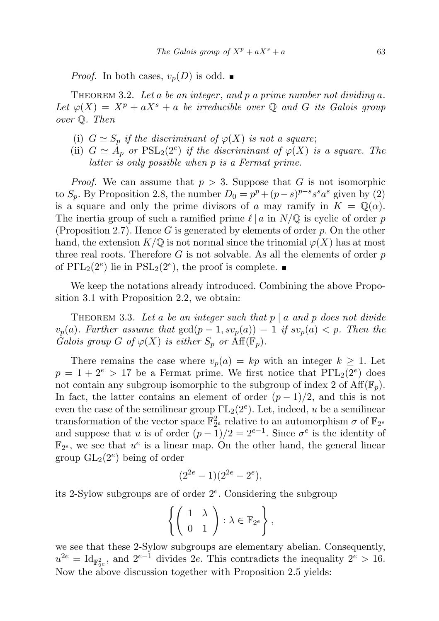*Proof.* In both cases,  $v_p(D)$  is odd.

THEOREM 3.2. Let a be an integer, and p a prime number not dividing a. Let  $\varphi(X) = X^p + aX^s + a$  be irreducible over Q and G its Galois group over Q. Then

- (i)  $G \simeq S_p$  if the discriminant of  $\varphi(X)$  is not a square;
- (ii)  $G \simeq A_p$  or  $PSL_2(2^e)$  if the discriminant of  $\varphi(X)$  is a square. The latter is only possible when p is a Fermat prime.

*Proof.* We can assume that  $p > 3$ . Suppose that G is not isomorphic to  $S_p$ . By Proposition 2.8, the number  $D_0 = p^p + (p-s)^{p-s} s^s a^s$  given by (2) is a square and only the prime divisors of a may ramify in  $K = \mathbb{Q}(\alpha)$ . The inertia group of such a ramified prime  $\ell | a$  in  $N/\mathbb{Q}$  is cyclic of order p (Proposition 2.7). Hence  $G$  is generated by elements of order  $p$ . On the other hand, the extension  $K/\mathbb{Q}$  is not normal since the trinomial  $\varphi(X)$  has at most three real roots. Therefore  $G$  is not solvable. As all the elements of order  $p$ of  $P\Gamma L_2(2^e)$  lie in  $PSL_2(2^e)$ , the proof is complete.

We keep the notations already introduced. Combining the above Proposition 3.1 with Proposition 2.2, we obtain:

THEOREM 3.3. Let a be an integer such that  $p \mid a$  and  $p$  does not divide  $v_p(a)$ . Further assume that  $gcd(p-1, sv_p(a)) = 1$  if  $sv_p(a) < p$ . Then the Galois group G of  $\varphi(X)$  is either  $S_p$  or  $\text{Aff}(\mathbb{F}_p)$ .

There remains the case where  $v_p(a) = kp$  with an integer  $k \geq 1$ . Let  $p = 1 + 2^e > 17$  be a Fermat prime. We first notice that  $P\Gamma L_2(2^e)$  does not contain any subgroup isomorphic to the subgroup of index 2 of  $\text{Aff}(\mathbb{F}_p)$ . In fact, the latter contains an element of order  $(p-1)/2$ , and this is not even the case of the semilinear group  $\text{TL}_2(2^e)$ . Let, indeed, u be a semilinear transformation of the vector space  $\mathbb{F}_{2^e}^2$  relative to an automorphism  $\sigma$  of  $\mathbb{F}_{2^e}$ and suppose that u is of order  $(p-1)/2 = 2^{e-1}$ . Since  $\sigma^e$  is the identity of  $\mathbb{F}_{2^e}$ , we see that  $u^e$  is a linear map. On the other hand, the general linear group  $GL_2(2^e)$  being of order

$$
(2^{2e} - 1)(2^{2e} - 2^e),
$$

its 2-Sylow subgroups are of order  $2^e$ . Considering the subgroup

$$
\left\{ \left( \begin{array}{cc} 1 & \lambda \\ 0 & 1 \end{array} \right) : \lambda \in \mathbb{F}_{2^e} \right\},\
$$

we see that these 2-Sylow subgroups are elementary abelian. Consequently,  $u^{2e} = \text{Id}_{\mathbb{F}_{2e}^2}$ , and  $2^{e-1}$  divides 2e. This contradicts the inequality  $2^e > 16$ . Now the above discussion together with Proposition 2.5 yields: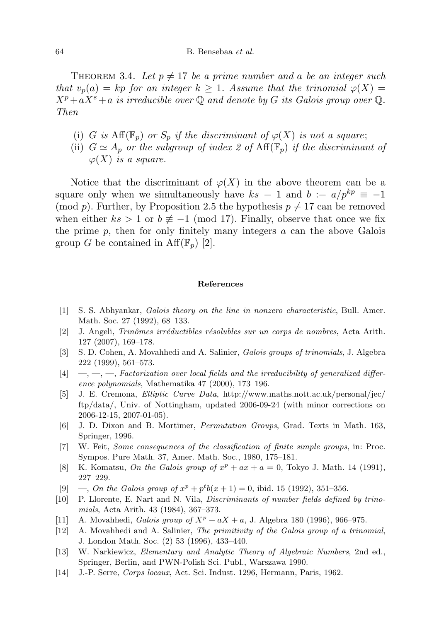THEOREM 3.4. Let  $p \neq 17$  be a prime number and a be an integer such that  $v_p(a) = kp$  for an integer  $k \geq 1$ . Assume that the trinomial  $\varphi(X) =$  $X^p+aX^s+a$  is irreducible over Q and denote by G its Galois group over Q. Then

- (i) G is  $\text{Aff}(\mathbb{F}_p)$  or  $S_p$  if the discriminant of  $\varphi(X)$  is not a square;
- (ii)  $G \simeq A_p$  or the subgroup of index 2 of  $\text{Aff}(\mathbb{F}_p)$  if the discriminant of  $\varphi(X)$  is a square.

Notice that the discriminant of  $\varphi(X)$  in the above theorem can be a square only when we simultaneously have  $ks = 1$  and  $b := a/p^{kp} \equiv -1$ (mod p). Further, by Proposition 2.5 the hypothesis  $p \neq 17$  can be removed when either  $ks > 1$  or  $b \not\equiv -1 \pmod{17}$ . Finally, observe that once we fix the prime  $p$ , then for only finitely many integers  $a$  can the above Galois group G be contained in  $\text{Aff}(\mathbb{F}_p)$  [2].

## References

- [1] S. S. Abhyankar, Galois theory on the line in nonzero characteristic, Bull. Amer. Math. Soc. 27 (1992), 68–133.
- [2] J. Angeli, Trinômes irréductibles résolubles sur un corps de nombres, Acta Arith. 127 (2007), 169–178.
- [3] S. D. Cohen, A. Movahhedi and A. Salinier, Galois groups of trinomials, J. Algebra 222 (1999), 561–573.
- $[4] \quad -,-,-$ , Factorization over local fields and the irreducibility of generalized difference polynomials, Mathematika 47 (2000), 173–196.
- [5] J. E. Cremona, Elliptic Curve Data, http://www.maths.nott.ac.uk/personal/jec/ ftp/data/, Univ. of Nottingham, updated 2006-09-24 (with minor corrections on 2006-12-15, 2007-01-05).
- [6] J. D. Dixon and B. Mortimer, Permutation Groups, Grad. Texts in Math. 163, Springer, 1996.
- [7] W. Feit, Some consequences of the classification of finite simple groups, in: Proc. Sympos. Pure Math. 37, Amer. Math. Soc., 1980, 175–181.
- [8] K. Komatsu, On the Galois group of  $x^p + ax + a = 0$ , Tokyo J. Math. 14 (1991), 227–229.
- [9]  $\implies$  *On the Galois group of*  $x^p + p^t b(x+1) = 0$ , ibid. 15 (1992), 351-356.
- [10] P. Llorente, E. Nart and N. Vila, Discriminants of number fields defined by trinomials, Acta Arith. 43 (1984), 367–373.
- [11] A. Movahhedi, *Galois group of*  $X^p + aX + a$ , J. Algebra 180 (1996), 966-975.
- [12] A. Movahhedi and A. Salinier, The primitivity of the Galois group of a trinomial, J. London Math. Soc. (2) 53 (1996), 433–440.
- [13] W. Narkiewicz, Elementary and Analytic Theory of Algebraic Numbers, 2nd ed., Springer, Berlin, and PWN-Polish Sci. Publ., Warszawa 1990.
- [14] J.-P. Serre, Corps locaux, Act. Sci. Indust. 1296, Hermann, Paris, 1962.